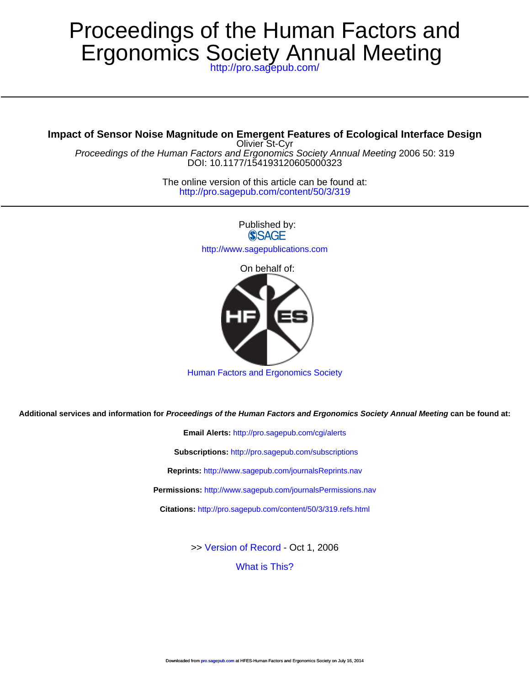# Ergonomics Society Annual Meeting Proceedings of the Human Factors and

<http://pro.sagepub.com/>

## **Impact of Sensor Noise Magnitude on Emergent Features of Ecological Interface Design**

DOI: 10.1177/154193120605000323 Proceedings of the Human Factors and Ergonomics Society Annual Meeting 2006 50: 319 Olivier St-Cyr

> <http://pro.sagepub.com/content/50/3/319> The online version of this article can be found at:

> > Published by: **SSAGE** <http://www.sagepublications.com> On behalf of:



[Human Factors and Ergonomics Society](http://www.hfes.org)

**Additional services and information for Proceedings of the Human Factors and Ergonomics Society Annual Meeting can be found at:**

**Email Alerts:** <http://pro.sagepub.com/cgi/alerts> **Subscriptions:** <http://pro.sagepub.com/subscriptions> **Reprints:** <http://www.sagepub.com/journalsReprints.nav> **Permissions:** <http://www.sagepub.com/journalsPermissions.nav> **Citations:** <http://pro.sagepub.com/content/50/3/319.refs.html>

>> [Version of Record -](http://pro.sagepub.com/content/50/3/319.full.pdf) Oct 1, 2006

[What is This?](http://online.sagepub.com/site/sphelp/vorhelp.xhtml)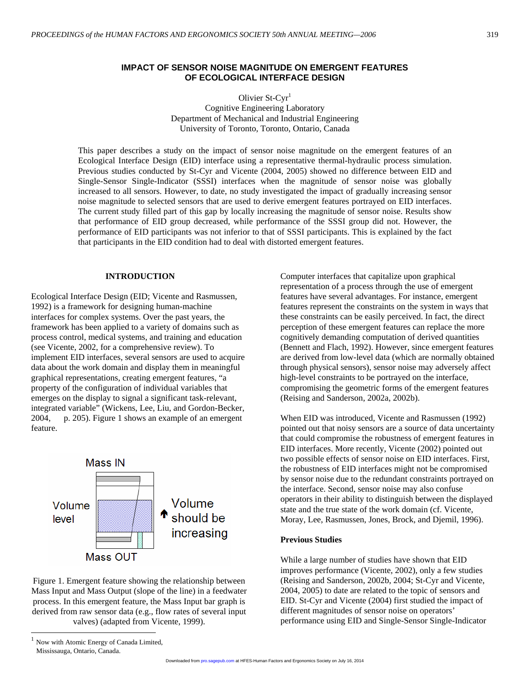Olivier St-Cyr<sup>1</sup> Cognitive Engineering Laboratory Department of Mechanical and Industrial Engineering University of Toronto, Toronto, Ontario, Canada

This paper describes a study on the impact of sensor noise magnitude on the emergent features of an Ecological Interface Design (EID) interface using a representative thermal-hydraulic process simulation. Previous studies conducted by St-Cyr and Vicente (2004, 2005) showed no difference between EID and Single-Sensor Single-Indicator (SSSI) interfaces when the magnitude of sensor noise was globally increased to all sensors. However, to date, no study investigated the impact of gradually increasing sensor noise magnitude to selected sensors that are used to derive emergent features portrayed on EID interfaces. The current study filled part of this gap by locally increasing the magnitude of sensor noise. Results show that performance of EID group decreased, while performance of the SSSI group did not. However, the performance of EID participants was not inferior to that of SSSI participants. This is explained by the fact that participants in the EID condition had to deal with distorted emergent features.

#### **INTRODUCTION**

Ecological Interface Design (EID; Vicente and Rasmussen, 1992) is a framework for designing human-machine interfaces for complex systems. Over the past years, the framework has been applied to a variety of domains such as process control, medical systems, and training and education (see Vicente, 2002, for a comprehensive review). To implement EID interfaces, several sensors are used to acquire data about the work domain and display them in meaningful graphical representations, creating emergent features, "a property of the configuration of individual variables that emerges on the display to signal a significant task-relevant, integrated variable" (Wickens, Lee, Liu, and Gordon-Becker, 2004, p. 205). Figure 1 shows an example of an emergent feature.



 $\overline{a}$ Figure 1. Emergent feature showing the relationship between Mass Input and Mass Output (slope of the line) in a feedwater process. In this emergent feature, the Mass Input bar graph is derived from raw sensor data (e.g., flow rates of several input valves) (adapted from Vicente, 1999).

Computer interfaces that capitalize upon graphical representation of a process through the use of emergent features have several advantages. For instance, emergent features represent the constraints on the system in ways that these constraints can be easily perceived. In fact, the direct perception of these emergent features can replace the more cognitively demanding computation of derived quantities (Bennett and Flach, 1992). However, since emergent features are derived from low-level data (which are normally obtained through physical sensors), sensor noise may adversely affect high-level constraints to be portrayed on the interface, compromising the geometric forms of the emergent features (Reising and Sanderson, 2002a, 2002b).

When EID was introduced, Vicente and Rasmussen (1992) pointed out that noisy sensors are a source of data uncertainty that could compromise the robustness of emergent features in EID interfaces. More recently, Vicente (2002) pointed out two possible effects of sensor noise on EID interfaces. First, the robustness of EID interfaces might not be compromised by sensor noise due to the redundant constraints portrayed on the interface. Second, sensor noise may also confuse operators in their ability to distinguish between the displayed state and the true state of the work domain (cf. Vicente, Moray, Lee, Rasmussen, Jones, Brock, and Djemil, 1996).

#### **Previous Studies**

While a large number of studies have shown that EID improves performance (Vicente, 2002), only a few studies (Reising and Sanderson, 2002b, 2004; St-Cyr and Vicente, 2004, 2005) to date are related to the topic of sensors and EID. St-Cyr and Vicente (2004) first studied the impact of different magnitudes of sensor noise on operators' performance using EID and Single-Sensor Single-Indicator

<sup>1</sup> Now with Atomic Energy of Canada Limited, Mississauga, Ontario, Canada.

Downloaded from [pro.sagepub.com](http://pro.sagepub.com/) at HFES-Human Factors and Ergonomics Society on July 16, 2014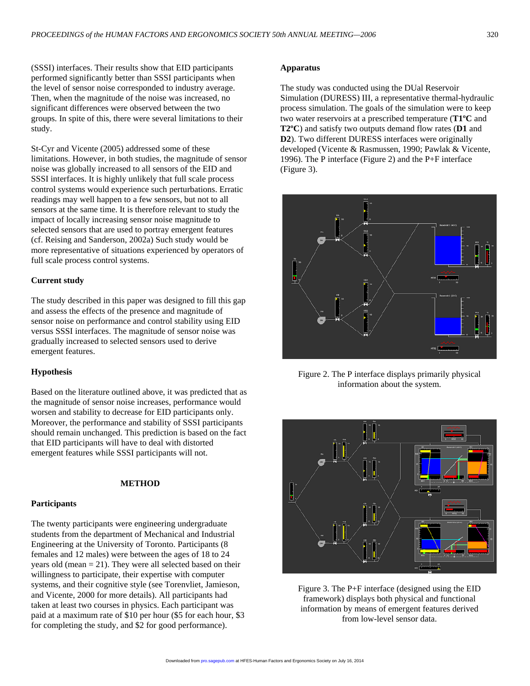(SSSI) interfaces. Their results show that EID participants performed significantly better than SSSI participants when the level of sensor noise corresponded to industry average. Then, when the magnitude of the noise was increased, no significant differences were observed between the two groups. In spite of this, there were several limitations to their study.

St-Cyr and Vicente (2005) addressed some of these limitations. However, in both studies, the magnitude of sensor noise was globally increased to all sensors of the EID and SSSI interfaces. It is highly unlikely that full scale process control systems would experience such perturbations. Erratic readings may well happen to a few sensors, but not to all sensors at the same time. It is therefore relevant to study the impact of locally increasing sensor noise magnitude to selected sensors that are used to portray emergent features (cf. Reising and Sanderson, 2002a) Such study would be more representative of situations experienced by operators of full scale process control systems.

## **Current study**

The study described in this paper was designed to fill this gap and assess the effects of the presence and magnitude of sensor noise on performance and control stability using EID versus SSSI interfaces. The magnitude of sensor noise was gradually increased to selected sensors used to derive emergent features.

## **Hypothesis**

Based on the literature outlined above, it was predicted that as the magnitude of sensor noise increases, performance would worsen and stability to decrease for EID participants only. Moreover, the performance and stability of SSSI participants should remain unchanged. This prediction is based on the fact that EID participants will have to deal with distorted emergent features while SSSI participants will not.

## **METHOD**

#### **Participants**

The twenty participants were engineering undergraduate students from the department of Mechanical and Industrial Engineering at the University of Toronto. Participants (8 females and 12 males) were between the ages of 18 to 24 years old (mean  $= 21$ ). They were all selected based on their willingness to participate, their expertise with computer systems, and their cognitive style (see Torenvliet, Jamieson, and Vicente, 2000 for more details). All participants had taken at least two courses in physics. Each participant was paid at a maximum rate of \$10 per hour (\$5 for each hour, \$3 for completing the study, and \$2 for good performance).

#### **Apparatus**

The study was conducted using the DUal Reservoir Simulation (DURESS) III, a representative thermal-hydraulic process simulation. The goals of the simulation were to keep two water reservoirs at a prescribed temperature (**T1ºC** and **T2ºC**) and satisfy two outputs demand flow rates (**D1** and **D2**). Two different DURESS interfaces were originally developed (Vicente & Rasmussen, 1990; Pawlak & Vicente, 1996). The P interface (Figure 2) and the P+F interface (Figure 3).



Figure 2. The P interface displays primarily physical information about the system.



Figure 3. The P+F interface (designed using the EID framework) displays both physical and functional information by means of emergent features derived from low-level sensor data.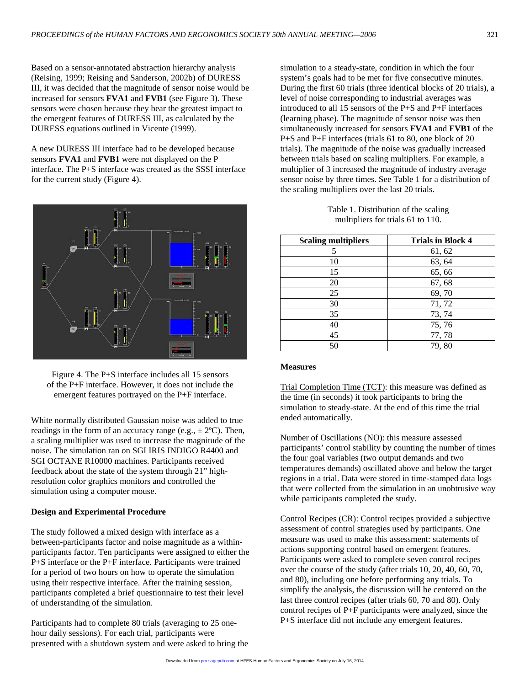Based on a sensor-annotated abstraction hierarchy analysis (Reising, 1999; Reising and Sanderson, 2002b) of DURESS III, it was decided that the magnitude of sensor noise would be increased for sensors **FVA1** and **FVB1** (see Figure 3). These sensors were chosen because they bear the greatest impact to the emergent features of DURESS III, as calculated by the DURESS equations outlined in Vicente (1999).

A new DURESS III interface had to be developed because sensors **FVA1** and **FVB1** were not displayed on the P interface. The P+S interface was created as the SSSI interface for the current study (Figure 4).



Figure 4. The P+S interface includes all 15 sensors of the P+F interface. However, it does not include the emergent features portrayed on the P+F interface.

White normally distributed Gaussian noise was added to true readings in the form of an accuracy range (e.g.,  $\pm$  2°C). Then, a scaling multiplier was used to increase the magnitude of the noise. The simulation ran on SGI IRIS INDIGO R4400 and SGI OCTANE R10000 machines. Participants received feedback about the state of the system through 21" highresolution color graphics monitors and controlled the simulation using a computer mouse.

#### **Design and Experimental Procedure**

The study followed a mixed design with interface as a between-participants factor and noise magnitude as a withinparticipants factor. Ten participants were assigned to either the P+S interface or the P+F interface. Participants were trained for a period of two hours on how to operate the simulation using their respective interface. After the training session, participants completed a brief questionnaire to test their level of understanding of the simulation.

Participants had to complete 80 trials (averaging to 25 onehour daily sessions). For each trial, participants were presented with a shutdown system and were asked to bring the simulation to a steady-state, condition in which the four system's goals had to be met for five consecutive minutes. During the first 60 trials (three identical blocks of 20 trials), a level of noise corresponding to industrial averages was introduced to all 15 sensors of the P+S and P+F interfaces (learning phase). The magnitude of sensor noise was then simultaneously increased for sensors **FVA1** and **FVB1** of the P+S and P+F interfaces (trials 61 to 80, one block of 20 trials). The magnitude of the noise was gradually increased between trials based on scaling multipliers. For example, a multiplier of 3 increased the magnitude of industry average sensor noise by three times. See Table 1 for a distribution of the scaling multipliers over the last 20 trials.

| Table 1. Distribution of the scaling |
|--------------------------------------|
| multipliers for trials 61 to 110.    |

| <b>Scaling multipliers</b> | <b>Trials in Block 4</b> |
|----------------------------|--------------------------|
| 5                          | 61, 62                   |
| 10                         | 63, 64                   |
| 15                         | 65,66                    |
| 20                         | 67, 68                   |
| 25                         | 69,70                    |
| 30                         | 71, 72                   |
| 35                         | 73, 74                   |
| 40                         | 75,76                    |
| 45                         | 77, 78                   |
| 50                         | 79,80                    |

## **Measures**

Trial Completion Time (TCT): this measure was defined as the time (in seconds) it took participants to bring the simulation to steady-state. At the end of this time the trial ended automatically.

Number of Oscillations (NO): this measure assessed participants' control stability by counting the number of times the four goal variables (two output demands and two temperatures demands) oscillated above and below the target regions in a trial. Data were stored in time-stamped data logs that were collected from the simulation in an unobtrusive way while participants completed the study.

Control Recipes (CR): Control recipes provided a subjective assessment of control strategies used by participants. One measure was used to make this assessment: statements of actions supporting control based on emergent features. Participants were asked to complete seven control recipes over the course of the study (after trials 10, 20, 40, 60, 70, and 80), including one before performing any trials. To simplify the analysis, the discussion will be centered on the last three control recipes (after trials 60, 70 and 80). Only control recipes of P+F participants were analyzed, since the P+S interface did not include any emergent features.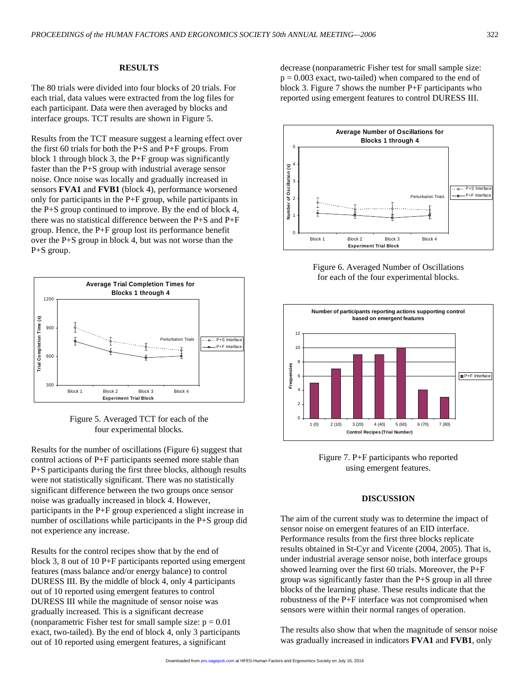## **RESULTS**

The 80 trials were divided into four blocks of 20 trials. For each trial, data values were extracted from the log files for each participant. Data were then averaged by blocks and interface groups. TCT results are shown in Figure 5.

Results from the TCT measure suggest a learning effect over the first 60 trials for both the P+S and P+F groups. From block 1 through block 3, the P+F group was significantly faster than the P+S group with industrial average sensor noise. Once noise was locally and gradually increased in sensors **FVA1** and **FVB1** (block 4), performance worsened only for participants in the P+F group, while participants in the P+S group continued to improve. By the end of block 4, there was no statistical difference between the P+S and P+F group. Hence, the P+F group lost its performance benefit over the P+S group in block 4, but was not worse than the P+S group.





Results for the number of oscillations (Figure 6) suggest that control actions of P+F participants seemed more stable than P+S participants during the first three blocks, although results were not statistically significant. There was no statistically significant difference between the two groups once sensor noise was gradually increased in block 4. However, participants in the P+F group experienced a slight increase in number of oscillations while participants in the P+S group did not experience any increase.

Results for the control recipes show that by the end of block 3, 8 out of 10 P+F participants reported using emergent features (mass balance and/or energy balance) to control DURESS III. By the middle of block 4, only 4 participants out of 10 reported using emergent features to control DURESS III while the magnitude of sensor noise was gradually increased. This is a significant decrease (nonparametric Fisher test for small sample size:  $p = 0.01$ ) exact, two-tailed). By the end of block 4, only 3 participants out of 10 reported using emergent features, a significant

decrease (nonparametric Fisher test for small sample size:  $p = 0.003$  exact, two-tailed) when compared to the end of block 3. Figure 7 shows the number P+F participants who reported using emergent features to control DURESS III.



Figure 6. Averaged Number of Oscillations for each of the four experimental blocks.



Figure 7. P+F participants who reported using emergent features.

#### **DISCUSSION**

The aim of the current study was to determine the impact of sensor noise on emergent features of an EID interface. Performance results from the first three blocks replicate results obtained in St-Cyr and Vicente (2004, 2005). That is, under industrial average sensor noise, both interface groups showed learning over the first 60 trials. Moreover, the P+F group was significantly faster than the P+S group in all three blocks of the learning phase. These results indicate that the robustness of the P+F interface was not compromised when sensors were within their normal ranges of operation.

The results also show that when the magnitude of sensor noise was gradually increased in indicators **FVA1** and **FVB1**, only